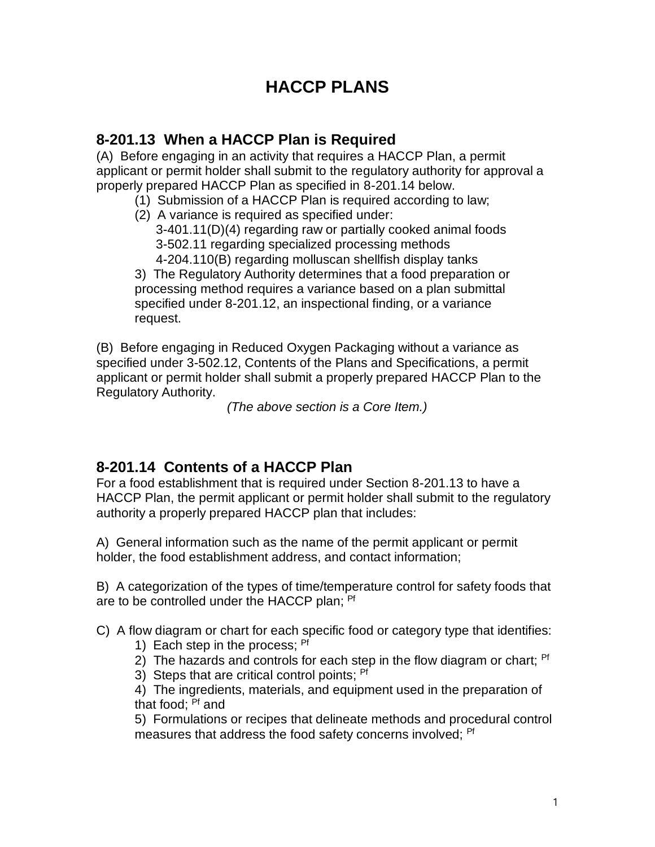## **HACCP PLANS**

## **8-201.13 When a HACCP Plan is Required**

(A) Before engaging in an activity that requires a HACCP Plan, a permit applicant or permit holder shall submit to the regulatory authority for approval a properly prepared HACCP Plan as specified in 8-201.14 below.

- (1) Submission of a HACCP Plan is required according to law;
- (2) A variance is required as specified under: 3-401.11(D)(4) regarding raw or partially cooked animal foods 3-502.11 regarding specialized processing methods 4-204.110(B) regarding molluscan shellfish display tanks

3) The Regulatory Authority determines that a food preparation or processing method requires a variance based on a plan submittal specified under 8-201.12, an inspectional finding, or a variance request.

(B) Before engaging in Reduced Oxygen Packaging without a variance as specified under 3-502.12, Contents of the Plans and Specifications, a permit applicant or permit holder shall submit a properly prepared HACCP Plan to the Regulatory Authority.

*(The above section is a Core Item.)*

## **8-201.14 Contents of a HACCP Plan**

For a food establishment that is required under Section 8-201.13 to have a HACCP Plan, the permit applicant or permit holder shall submit to the regulatory authority a properly prepared HACCP plan that includes:

A) General information such as the name of the permit applicant or permit holder, the food establishment address, and contact information;

B) A categorization of the types of time/temperature control for safety foods that are to be controlled under the HACCP plan; <sup>Pf</sup>

C) A flow diagram or chart for each specific food or category type that identifies:

- 1)Each step in the process; Pf
- 2) The hazards and controls for each step in the flow diagram or chart;  $Pf$
- 3) Steps that are critical control points; Pf

4) The ingredients, materials, and equipment used in the preparation of that food: <sup>Pf</sup> and

5) Formulations or recipes that delineate methods and procedural control measures that address the food safety concerns involved; <sup>Pf</sup>